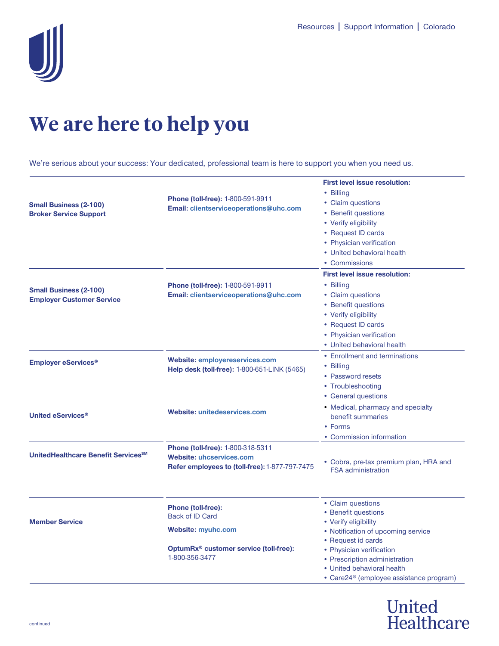

## **We are here to help you**

We're serious about your success: Your dedicated, professional team is here to support you when you need us.

| <b>Small Business (2-100)</b><br><b>Broker Service Support</b>    | <b>Phone (toll-free): 1-800-591-9911</b><br>Email: clientserviceoperations@uhc.com                                                           | <b>First level issue resolution:</b><br>• Billing<br>• Claim questions<br>• Benefit questions<br>• Verify eligibility<br>• Request ID cards<br>• Physician verification<br>• United behavioral health<br>• Commissions |
|-------------------------------------------------------------------|----------------------------------------------------------------------------------------------------------------------------------------------|------------------------------------------------------------------------------------------------------------------------------------------------------------------------------------------------------------------------|
| <b>Small Business (2-100)</b><br><b>Employer Customer Service</b> | Phone (toll-free): 1-800-591-9911<br>Email: clientserviceoperations@uhc.com                                                                  | <b>First level issue resolution:</b><br>• Billing<br>• Claim questions<br>• Benefit questions<br>• Verify eligibility<br>• Request ID cards<br>• Physician verification<br>• United behavioral health                  |
| <b>Employer eServices<sup>®</sup></b>                             | <b>Website: employereservices.com</b><br><b>Help desk (toll-free): 1-800-651-LINK (5465)</b>                                                 | • Enrollment and terminations<br>• Billing<br>• Password resets<br>• Troubleshooting<br>• General questions                                                                                                            |
| United eServices <sup>®</sup>                                     | Website: unitedeservices.com                                                                                                                 | • Medical, pharmacy and specialty<br>benefit summaries<br>• Forms<br>• Commission information                                                                                                                          |
| UnitedHealthcare Benefit Services <sup>SM</sup>                   | Phone (toll-free): 1-800-318-5311<br><b>Website: uhcservices.com</b><br>Refer employees to (toll-free): 1-877-797-7475                       | • Cobra, pre-tax premium plan, HRA and<br><b>FSA administration</b>                                                                                                                                                    |
| <b>Member Service</b>                                             | <b>Phone (toll-free):</b><br><b>Back of ID Card</b><br><b>Website: myuhc.com</b><br>OptumRx® customer service (toll-free):<br>1-800-356-3477 | • Claim questions<br>• Benefit questions<br>• Verify eligibility<br>• Notification of upcoming service<br>• Request id cards<br>• Physician verification                                                               |
|                                                                   |                                                                                                                                              | • Prescription administration<br>• United behavioral health<br>• Care24 <sup>®</sup> (employee assistance program)                                                                                                     |